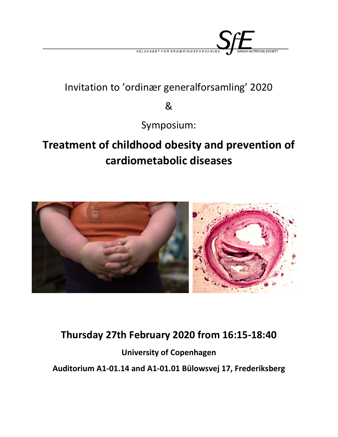

## Invitation to 'ordinær generalforsamling' 2020

&

Symposium:

## **Treatment of childhood obesity and prevention of cardiometabolic diseases**



## **Thursday 27th February 2020 from 16:15-18:40**

**University of Copenhagen Auditorium A1-01.14 and A1-01.01 Bülowsvej 17, Frederiksberg**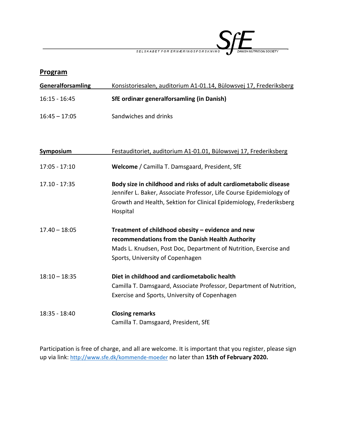

| Program           |                                                                                                                                                                                                                             |
|-------------------|-----------------------------------------------------------------------------------------------------------------------------------------------------------------------------------------------------------------------------|
| Generalforsamling | Konsistoriesalen, auditorium A1-01.14, Bülowsvej 17, Frederiksberg                                                                                                                                                          |
| $16:15 - 16:45$   | SfE ordinær generalforsamling (in Danish)                                                                                                                                                                                   |
| $16:45 - 17:05$   | Sandwiches and drinks                                                                                                                                                                                                       |
|                   |                                                                                                                                                                                                                             |
| <b>Symposium</b>  | Festauditoriet, auditorium A1-01.01, Bülowsvej 17, Frederiksberg                                                                                                                                                            |
| $17:05 - 17:10$   | Welcome / Camilla T. Damsgaard, President, SfE                                                                                                                                                                              |
| $17.10 - 17:35$   | Body size in childhood and risks of adult cardiometabolic disease<br>Jennifer L. Baker, Associate Professor, Life Course Epidemiology of<br>Growth and Health, Sektion for Clinical Epidemiology, Frederiksberg<br>Hospital |
| $17.40 - 18:05$   | Treatment of childhood obesity - evidence and new<br>recommendations from the Danish Health Authority<br>Mads L. Knudsen, Post Doc, Department of Nutrition, Exercise and<br>Sports, University of Copenhagen               |
| $18:10 - 18:35$   | Diet in childhood and cardiometabolic health<br>Camilla T. Damsgaard, Associate Professor, Department of Nutrition,<br>Exercise and Sports, University of Copenhagen                                                        |
| 18:35 - 18:40     | <b>Closing remarks</b><br>Camilla T. Damsgaard, President, SfE                                                                                                                                                              |

Participation is free of charge, and all are welcome. It is important that you register, please sign up via link: http://www.sfe.dk/kommende-moeder no later than **15th of February 2020.**